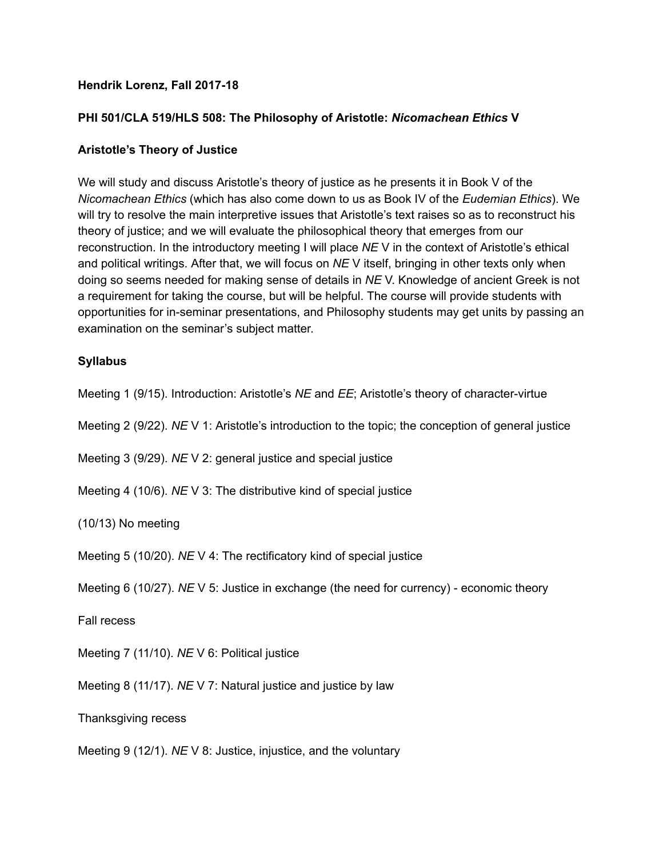### **Hendrik Lorenz, Fall 2017-18**

#### **PHI 501/CLA 519/HLS 508: The Philosophy of Aristotle:** *Nicomachean Ethics* **V**

### **Aristotle's Theory of Justice**

We will study and discuss Aristotle's theory of justice as he presents it in Book V of the *Nicomachean Ethics* (which has also come down to us as Book IV of the *Eudemian Ethics*). We will try to resolve the main interpretive issues that Aristotle's text raises so as to reconstruct his theory of justice; and we will evaluate the philosophical theory that emerges from our reconstruction. In the introductory meeting I will place *NE* V in the context of Aristotle's ethical and political writings. After that, we will focus on *NE* V itself, bringing in other texts only when doing so seems needed for making sense of details in *NE* V. Knowledge of ancient Greek is not a requirement for taking the course, but will be helpful. The course will provide students with opportunities for in-seminar presentations, and Philosophy students may get units by passing an examination on the seminar's subject matter.

### **Syllabus**

Meeting 1 (9/15). Introduction: Aristotle's *NE* and *EE*; Aristotle's theory of character-virtue

Meeting 2 (9/22). *NE* V 1: Aristotle's introduction to the topic; the conception of general justice

Meeting 3 (9/29). *NE* V 2: general justice and special justice

Meeting 4 (10/6). *NE* V 3: The distributive kind of special justice

(10/13) No meeting

Meeting 5 (10/20). *NE* V 4: The rectificatory kind of special justice

Meeting 6 (10/27). *NE* V 5: Justice in exchange (the need for currency) - economic theory

Fall recess

Meeting 7 (11/10). *NE* V 6: Political justice

Meeting 8 (11/17). *NE* V 7: Natural justice and justice by law

Thanksgiving recess

Meeting 9 (12/1). *NE* V 8: Justice, injustice, and the voluntary